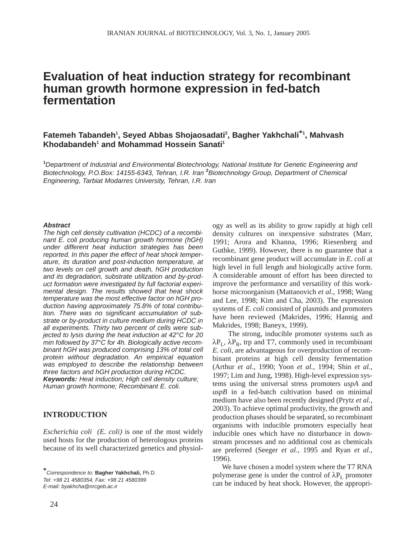# **Evaluation of heat induction strategy for recombinant human growth hormone expression in fed-batch fermentation**

## Fatemeh Tabandeh<sup>1</sup>, Seyed Abbas Shojaosadati<sup>2</sup>, Bagher Yakhchali<sup>\*1</sup>, Mahvash **Khodabandeh1 and Mohammad Hossein Sanati1**

**1** *Department of Industrial and Environmental Biotechnology, National Institute for Genetic Engineering and* Biotechnology, P.O.Box: 14155-6343, Tehran, I.R. Iran <sup>2</sup> Biotechnology Group, Department of Chemical *Engineering, Tarbiat Modarres University, Tehran, I.R. Iran*

#### *Abstract*

*The high cell density cultivation (HCDC) of a recombinant E. coli producing human growth hormone (hGH) under different heat induction strategies has been reported. In this paper the effect of heat shock temperature, its duration and post-induction temperature, at two levels on cell growth and death, hGH production and its degradation, substrate utilization and by-product formation were investigated by full factorial experimental design. The results showed that heat shock temperature was the most effective factor on hGH production having approximately 75.8% of total contribution. There was no significant accumulation of substrate or by-product in culture medium during HCDC in all experiments. Thirty two percent of cells were subjected to lysis during the heat induction at 42°C for 20 min followed by 37°C for 4h. Biologically active recombinant hGH was produced comprising 13% of total cell protein without degradation. An empirical equation was employed to describe the relationship between three factors and hGH production during HCDC. Keywords: Heat induction; High cell density culture; Human growth hormone; Recombinant E. coli.*

## **INTRODUCTION**

*Escherichia coli (E. coli)* is one of the most widely used hosts for the production of heterologous proteins because of its well characterized genetics and physiol-

*E-mail: byakhcha@nrcgeb.ac.ir*

ogy as well as its ability to grow rapidly at high cell density cultures on inexpensive substrates (Marr, 1991; Arora and Khanna, 1996; Riesenberg and Guthke, 1999). However, there is no guarantee that a recombinant gene product will accumulate in *E. coli* at high level in full length and biologically active form. A considerable amount of effort has been directed to improve the performance and versatility of this workhorse microorganism (Mattanovich *et al*., 1998; Wang and Lee, 1998; Kim and Cha, 2003). The expression systems of *E. coli* consisted of plasmids and promoters have been reviewed (Makrides, 1996; Hannig and Makrides, 1998; Baneyx, 1999).

The strong, inducible promoter systems such as  $\lambda P_{\rm L}$ ,  $\lambda P_{\rm R}$ , trp and T7, commonly used in recombinant *E. coli*, are advantageous for overproduction of recombinant proteins at high cell density fermentation (Arthur *et al.*, 1990; Yoon *et al.*, 1994; Shin *et al.*, 1997; Lim and Jung, 1998). High-level expression systems using the universal stress promoters *uspA* and *uspB* in a fed-batch cultivation based on minimal medium have also been recently designed (Prytz *et al.*, 2003). To achieve optimal productivity, the growth and production phases should be separated, so recombinant organisms with inducible promoters especially heat inducible ones which have no disturbance in downstream processes and no additional cost as chemicals are preferred (Seeger *et al.*, 1995 and Ryan *et al.*, 1996).

We have chosen a model system where the T7 RNA polymerase gene is under the control of  $\lambda P_L$  promoter can be induced by heat shock. However, the appropri-

**<sup>\*</sup>***Correspondence to:* **Bagher Yakhchali,** Ph.D. *Tel: +98 21 4580354, Fax: +98 21 4580399*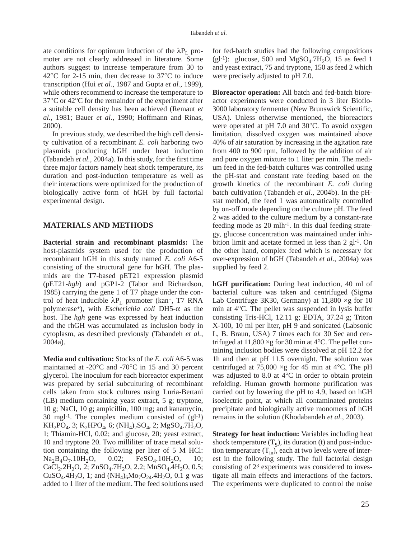ate conditions for optimum induction of the  $\lambda P_L$  promoter are not clearly addressed in literature. Some authors suggest to increase temperature from 30 to 42°C for 2-15 min, then decrease to 37°C to induce transcription (Hui *et al.*, 1987 and Gupta *et al.*, 1999), while others recommend to increase the temperature to 37°C or 42°C for the remainder of the experiment after a suitable cell density has been achieved (Remaut *et al.*, 1981; Bauer *et al.*, 1990; Hoffmann and Rinas, 2000).

In previous study, we described the high cell density cultivation of a recombinant *E. coli* harboring two plasmids producing hGH under heat induction (Tabandeh *et al.*, 2004a). In this study, for the first time three major factors namely heat shock temperature, its duration and post-induction temperature as well as their interactions were optimized for the production of biologically active form of hGH by full factorial experimental design.

### **MATERIALS AND METHODS**

**Bacterial strain and recombinant plasmids:** The host-plasmids system used for the production of recombinant hGH in this study named *E. coli* A6-5 consisting of the structural gene for hGH. The plasmids are the T7-based pET21 expression plasmid (pET21-*hgh*) and pGP1-2 (Tabor and Richardson, 1985) carrying the gene 1 of T7 phage under the control of heat inducible  $\lambda P_L$  promoter (kan<sup>+</sup>, T7 RNA polymerase+), with *Escherichia coli* DH5-α as the host. The *hgh* gene was expressed by heat induction and the rhGH was accumulated as inclusion body in cytoplasm, as described previously (Tabandeh *et al.*, 2004a).

**Media and cultivation:** Stocks of the *E. coli* A6-5 was maintained at -20°C and -70°C in 15 and 30 percent glycerol. The inoculum for each bioreactor experiment was prepared by serial subculturing of recombinant cells taken from stock cultures using Luria-Bertani (LB) medium containing yeast extract, 5 g; tryptone, 10 g; NaCl, 10 g; ampicillin, 100 mg; and kanamycin, 30 mgl<sup>-1</sup>. The complex medium consisted of  $(g<sup>1-1</sup>)$  $KH_2PO_4$ , 3;  $K_2HPO_4$ , 6;  $(NH_4)_2SO_4$ , 2;  $MgSO_4$ .7H<sub>2</sub>O, 1; Thiamin-HCl, 0.02; and glucose, 20; yeast extract, 10 and tryptone 20. Two milliliter of trace metal solution containing the following per liter of 5 M HCl:  $Na<sub>2</sub>B<sub>4</sub>O<sub>7</sub>$ .10H<sub>2</sub>O, 0.02; FeSO<sub>4</sub>.10H<sub>2</sub>O, 10;  $CaCl<sub>2</sub>$ .2H<sub>2</sub>O, 2; ZnSO<sub>4</sub>.7H<sub>2</sub>O, 2.2; MnSO<sub>4</sub>.4H<sub>2</sub>O, 0.5; CuSO<sub>4</sub>.4H<sub>2</sub>O, 1; and  $(NH_4)_6Mo_7O_{24}$ .4H<sub>2</sub>O, 0.1 g was added to 1 liter of the medium. The feed solutions used

for fed-batch studies had the following compositions (gl-1): glucose, 500 and  $MgSO<sub>4</sub>$ .7H<sub>2</sub>O, 15 as feed 1 and yeast extract, 75 and tryptone, 150 as feed 2 which were precisely adjusted to pH 7.0.

**Bioreactor operation:** All batch and fed-batch bioreactor experiments were conducted in 3 liter Bioflo-3000 laboratory fermenter (New Brunswick Scientific, USA). Unless otherwise mentioned, the bioreactors were operated at pH 7.0 and 30°C. To avoid oxygen limitation, dissolved oxygen was maintained above 40% of air saturation by increasing in the agitation rate from 400 to 900 rpm, followed by the addition of air and pure oxygen mixture to 1 liter per min. The medium feed in the fed-batch cultures was controlled using the pH-stat and constant rate feeding based on the growth kinetics of the recombinant *E. coli* during batch cultivation (Tabandeh *et al.*, 2004b). In the pHstat method, the feed 1 was automatically controlled by on-off mode depending on the culture pH. The feed 2 was added to the culture medium by a constant-rate feeding mode as  $20 \text{ m}$ -1. In this dual feeding strategy, glucose concentration was maintained under inhibition limit and acetate formed in less than 2 gl-1. On the other hand, complex feed which is necessary for over-expression of hGH (Tabandeh *et al.*, 2004a) was supplied by feed 2.

**hGH purification:** During heat induction, 40 ml of bacterial culture was taken and centrifuged (Sigma Lab Centrifuge 3K30, Germany) at  $11,800 \times g$  for 10 min at 4°C. The pellet was suspended in lysis buffer consisting Tris-HCl, 12.11 g; EDTA, 37.24 g; Triton X-100, 10 ml per liter, pH 9 and sonicated (Labsonic L, B. Braun, USA) 7 times each for 30 Sec and centrifuged at  $11,800 \times g$  for 30 min at 4 °C. The pellet containing inclusion bodies were dissolved at pH 12.2 for 1h and then at pH 11.5 overnight. The solution was centrifuged at 75,000  $\times$ g for 45 min at 4 °C. The pH was adjusted to 8.0 at 4°C in order to obtain protein refolding. Human growth hormone purification was carried out by lowering the pH to 4.9, based on hGH isoelectric point, at which all contaminated proteins precipitate and biologically active monomers of hGH remains in the solution (Khodabandeh *et al.*, 2003).

**Strategy for heat induction:** Variables including heat shock temperature  $(T_s)$ , its duration (t) and post-induction temperature  $(T_{in})$ , each at two levels were of interest in the following study. The full factorial design consisting of 23 experiments was considered to investigate all main effects and interactions of the factors. The experiments were duplicated to control the noise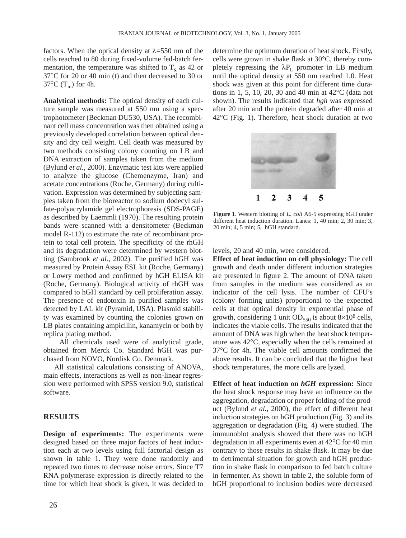factors. When the optical density at  $\lambda$ =550 nm of the cells reached to 80 during fixed-volume fed-batch fermentation, the temperature was shifted to  $T_s$  as 42 or 37°C for 20 or 40 min (t) and then decreased to 30 or  $37^{\circ}$ C (T<sub>in</sub>) for 4h.

**Analytical methods:** The optical density of each culture sample was measured at 550 nm using a spectrophotometer (Beckman DU530, USA). The recombinant cell mass concentration was then obtained using a previously developed correlation between optical density and dry cell weight. Cell death was measured by two methods consisting colony counting on LB and DNA extraction of samples taken from the medium (Bylund *et al.*, 2000). Enzymatic test kits were applied to analyze the glucose (Chemenzyme, Iran) and acetate concentrations (Roche, Germany) during cultivation. Expression was determined by subjecting samples taken from the bioreactor to sodium dodecyl sulfate-polyacrylamide gel electrophoresis (SDS-PAGE) as described by Laemmli (1970). The resulting protein bands were scanned with a densitometer (Beckman model R-112) to estimate the rate of recombinant protein to total cell protein. The specificity of the rhGH and its degradation were determined by western blotting (Sambrook *et al.*, 2002). The purified hGH was measured by Protein Assay ESL kit (Roche, Germany) or Lowry method and confirmed by hGH ELISA kit (Roche, Germany). Biological activity of rhGH was compared to hGH standard by cell proliferation assay. The presence of endotoxin in purified samples was detected by LAL kit (Pyramid, USA). Plasmid stability was examined by counting the colonies grown on LB plates containing ampicillin, kanamycin or both by replica plating method.

All chemicals used were of analytical grade, obtained from Merck Co. Standard hGH was purchased from NOVO, Nordisk Co. Denmark.

All statistical calculations consisting of ANOVA, main effects, interactions as well as non-linear regression were performed with SPSS version 9.0, statistical software.

## **RESULTS**

**Design of experiments:** The experiments were designed based on three major factors of heat induction each at two levels using full factorial design as shown in table 1. They were done randomly and repeated two times to decrease noise errors. Since T7 RNA polymerase expression is directly related to the time for which heat shock is given, it was decided to determine the optimum duration of heat shock. Firstly, cells were grown in shake flask at 30°C, thereby completely repressing the  $\lambda P_L$  promoter in LB medium until the optical density at 550 nm reached 1.0. Heat shock was given at this point for different time durations in 1, 5, 10, 20, 30 and 40 min at 42°C (data not shown). The results indicated that *hgh* was expressed after 20 min and the protein degraded after 40 min at 42°C (Fig. 1). Therefore, heat shock duration at two



**Figure 1**. Western blotting of *E. coli* A6-5 expressing hGH under different heat induction duration. Lanes: 1, 40 min; 2, 30 min; 3, 20 min; 4, 5 min; *5*, hGH standard.

levels, 20 and 40 min, were considered.

**Effect of heat induction on cell physiology:** The cell growth and death under different induction strategies are presented in figure 2. The amount of DNA taken from samples in the medium was considered as an indicator of the cell lysis. The number of CFU's (colony forming units) proportional to the expected cells at that optical density in exponential phase of growth, considering 1 unit  $OD_{550}$  is about 8×10<sup>8</sup> cells, indicates the viable cells. The results indicated that the amount of DNA was high when the heat shock temperature was 42°C, especially when the cells remained at 37°C for 4h. The viable cell amounts confirmed the above results. It can be concluded that the higher heat shock temperatures, the more cells are lyzed.

**Effect of heat induction on** *hGH* **expression:** Since the heat shock response may have an influence on the aggregation, degradation or proper folding of the product (Bylund *et al.*, 2000), the effect of different heat induction strategies on hGH production (Fig. 3) and its aggregation or degradation (Fig. 4) were studied. The immunoblot analysis showed that there was no hGH degradation in all experiments even at 42°C for 40 min contrary to those results in shake flask. It may be due to detrimental situation for growth and hGH production in shake flask in comparison to fed batch culture in fermenter. As shown in table 2, the soluble form of hGH proportional to inclusion bodies were decreased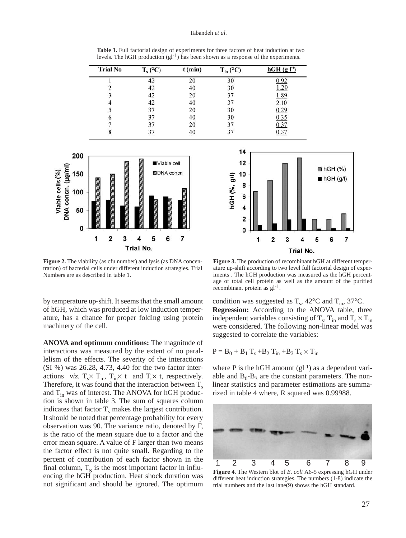#### Tabandeh *et al*.

**Table 1.** Full factorial design of experiments for three factors of heat induction at two levels. The hGH production  $(gl^{-1})$  has been shown as a response of the experiments.

| <b>Trial No</b> | $T_s$ (°C) | $t$ (min) | $T_{in}$ (°C) | $hGH$ (g $l'$ ) |
|-----------------|------------|-----------|---------------|-----------------|
|                 |            |           | 30            | .97             |
|                 | 42         | 40        | 30            | 1.20            |
|                 | 42         | 20        | 37            | 1.89            |
|                 | 42         | 40        | 37            | <u>2.10</u>     |
|                 | 37         | 20        | 30            | 0.29            |
| O               | 37         | 40        | 30            | 0.35            |
|                 | 37         | 20        | 37            | 0.37            |
|                 | 37         | 40        | 37            | 0.37            |



**Figure 2.** The viability (as cfu number) and lysis (as DNA concentration) of bacterial cells under different induction strategies. Trial Numbers are as described in table 1.

by temperature up-shift. It seems that the small amount of hGH, which was produced at low induction temperature, has a chance for proper folding using protein machinery of the cell.

**ANOVA and optimum conditions:** The magnitude of interactions was measured by the extent of no parallelism of the effects. The severity of the interactions (SI %) was 26.28, 4.73, 4.40 for the two-factor interactions *viz.*  $T_s \times T_{in}$ ,  $T_{in} \times t$  and  $T_s \times t$ , respectively. Therefore, it was found that the interaction between  $T_s$ and  $T_{in}$  was of interest. The ANOVA for hGH production is shown in table 3. The sum of squares column indicates that factor  $T_s$  makes the largest contribution. It should be noted that percentage probability for every observation was 90. The variance ratio, denoted by F, is the ratio of the mean square due to a factor and the error mean square. A value of F larger than two means the factor effect is not quite small. Regarding to the percent of contribution of each factor shown in the final column,  $T_s$  is the most important factor in influencing the hGH production. Heat shock duration was not significant and should be ignored. The optimum



**Figure 3.** The production of recombinant hGH at different temperature up-shift according to two level full factorial design of experiments . The hGH production was measured as the hGH percentage of total cell protein as well as the amount of the purified recombinant protein as gl-1.

condition was suggested as  $T_s$ , 42°C and  $T_{in}$ , 37°C. **Regression:** According to the ANOVA table, three independent variables consisting of  $T_s$ ,  $T_{in}$  and  $T_s \times T_{in}$ were considered. The following non-linear model was suggested to correlate the variables:

$$
P = B_0 + B_1 T_s + B_2 T_{in} + B_3 T_s \times T_{in}
$$

where  $P$  is the hGH amount  $(gl^{-1})$  as a dependent variable and  $B_0 - B_3$  are the constant parameters. The nonlinear statistics and parameter estimations are summarized in table 4 where, R squared was 0.99988.



**Figure 4**. The Western blot of *E. coli* A6-5 expressing hGH under different heat induction strategies. The numbers (1-8) indicate the trial numbers and the last lane(9) shows the hGH standard.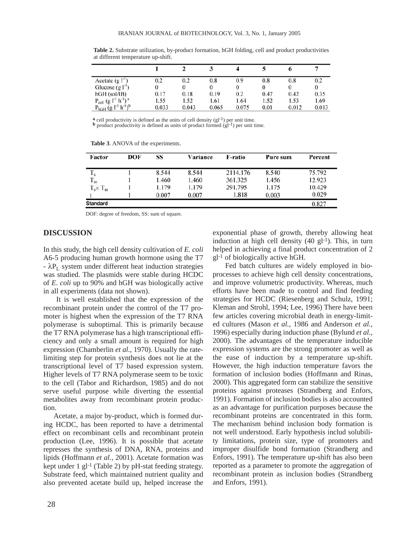|                                                              |          |       |       |       |      | o     |       |
|--------------------------------------------------------------|----------|-------|-------|-------|------|-------|-------|
| Acetate $(g IT)$                                             | $_{0.2}$ | 0.2   | 0.8   | 0.9   | 0.8  | 0.8   | 0.2   |
| Glucose $(g ^{-1})$                                          |          |       |       |       | 0    |       |       |
| $hGH$ (sol/IB)                                               | 0.17     | 0.18  | 0.19  | 0.2   | 0.47 | 0.42  | 0.35  |
| $P_{cell}$ (g l <sup>-1</sup> h <sup>-1</sup> ) <sup>a</sup> | 1.55     | 1.52  | 1.61  | 1.64  | 1.52 | 1.53  | 1.69  |
| $P_{hGH}$ (g $l^{-1}$ h <sup>-1</sup> ) <sup>b</sup>         | 0.033    | 0.043 | 0.065 | 0.075 | 0.01 | 0.012 | 0.013 |

**Table 2.** Substrate utilization, by-product formation, hGH folding, cell and product productivities at different temperature up-shift.

**a** cell productivity is defined as the units of cell density (gl<sup>-1</sup>) per unit time. **b** product productivity is defined as units of product formed (gl<sup>-1</sup>) per unit time.

**Table 3**. ANOVA of the experiments.

| DOF | <b>SS</b> | Variance | F-ratio  | Pure sum | Percent |
|-----|-----------|----------|----------|----------|---------|
|     | 8.544     | 8.544    | 2114.176 | 8.540    | 75.792  |
|     | 1.460     | 1.460    | 361.325  | 1.456    | 12.923  |
|     | 1.179     | 1.179    | 291.795  | 1.175    | 10.429  |
|     | 0.007     | 0.007    | 1.818    | 0.003    | 0.029   |
|     |           |          |          |          | 0.827   |
|     |           |          |          |          |         |

DOF: degree of freedom, SS: sum of square.

## **DISCUSSION**

In this study, the high cell density cultivation of *E. coli* A6-5 producing human growth hormone using the T7  $-\lambda P_{I}$  system under different heat induction strategies was studied. The plasmids were stable during HCDC of *E. coli* up to 90% and hGH was biologically active in all experiments (data not shown).

It is well established that the expression of the recombinant protein under the control of the T7 promoter is highest when the expression of the T7 RNA polymerase is suboptimal. This is primarily because the T7 RNA polymerase has a high transcriptional efficiency and only a small amount is required for high expression (Chamberlin *et al.*, 1970). Usually the ratelimiting step for protein synthesis does not lie at the transcriptional level of T7 based expression system. Higher levels of T7 RNA polymerase seem to be toxic to the cell (Tabor and Richardson, 1985) and do not serve useful purpose while diverting the essential metabolites away from recombinant protein production.

Acetate, a major by-product, which is formed during HCDC, has been reported to have a detrimental effect on recombinant cells and recombinant protein production (Lee, 1996). It is possible that acetate represses the synthesis of DNA, RNA, proteins and lipids (Hoffmann *et al.*, 2001). Acetate formation was kept under 1 gl-1 (Table 2) by pH-stat feeding strategy. Substrate feed, which maintained nutrient quality and also prevented acetate build up, helped increase the exponential phase of growth, thereby allowing heat induction at high cell density  $(40 \text{ gl-1})$ . This, in turn helped in achieving a final product concentration of 2 gl-1 of biologically active hGH.

Fed batch cultures are widely employed in bioprocesses to achieve high cell density concentrations, and improve volumetric productivity. Whereas, much efforts have been made to control and find feeding strategies for HCDC (Riesenberg and Schulz, 1991; Kleman and Strohl, 1994; Lee, 1996) There have been few articles covering microbial death in energy-limited cultures (Mason *et al.*, 1986 and Anderson *et al.*, 1996) especially during induction phase (Bylund *et al.*, 2000). The advantages of the temperature inducible expression systems are the strong promoter as well as the ease of induction by a temperature up-shift. However, the high induction temperature favors the formation of inclusion bodies (Hoffmann and Rinas, 2000). This aggregated form can stabilize the sensitive proteins against proteases (Strandberg and Enfors, 1991). Formation of inclusion bodies is also accounted as an advantage for purification purposes because the recombinant proteins are concentrated in this form. The mechanism behind inclusion body formation is not well understood. Early hypothesis includ solubility limitations, protein size, type of promoters and improper disulfide bond formation (Strandberg and Enfors, 1991). The temperature up-shift has also been reported as a parameter to promote the aggregation of recombinant protein as inclusion bodies (Strandberg and Enfors, 1991).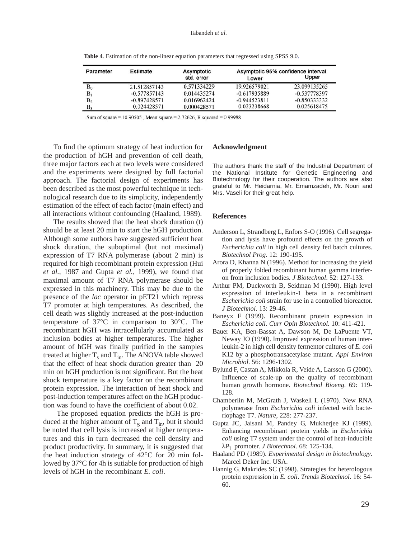| Parameter | Estimate       | Asymptotic  | Asymptotic 95% confidence interval |                |
|-----------|----------------|-------------|------------------------------------|----------------|
|           |                | std. error  | Lower                              | Upper          |
| $B_0$     | 21.512857143   | 0.571334229 | 19.926579021                       | 23.099135265   |
| в,        | $-0.577857143$ | 0.014435274 | $-0.617935889$                     | -0.537778397   |
| $\rm B_2$ | $-0.897428571$ | 0.016962424 | $-0.944523811$                     | $-0.850333332$ |
| В3        | 0.024428571    | 0.000428571 | 0.023238668                        | 0.025618475    |

**Table 4**. Estimation of the non-linear equation parameters that regressed using SPSS 9.0.

Sum of square = 10.90505, Mean square = 2.72626, R squared = 0.99988

To find the optimum strategy of heat induction for the production of hGH and prevention of cell death, three major factors each at two levels were considered and the experiments were designed by full factorial approach. The factorial design of experiments has been described as the most powerful technique in technological research due to its simplicity, independently estimation of the effect of each factor (main effect) and all interactions without confounding (Haaland, 1989).

The results showed that the heat shock duration (t) should be at least 20 min to start the hGH production. Although some authors have suggested sufficient heat shock duration, the suboptimal (but not maximal) expression of T7 RNA polymerase (about 2 min) is required for high recombinant protein expression (Hui *et al.*, 1987 and Gupta *et al.*, 1999), we found that maximal amount of T7 RNA polymerase should be expressed in this machinery. This may be due to the presence of the *lac* operator in pET21 which repress T7 promoter at high temperatures. As described, the cell death was slightly increased at the post-induction temperature of 37°C in comparison to 30°C. The recombinant hGH was intracellularly accumulated as inclusion bodies at higher temperatures. The higher amount of hGH was finally purified in the samples treated at higher  $T_s$  and  $T_{in}$ . The ANOVA table showed that the effect of heat shock duration greater than 20 min on hGH production is not significant. But the heat shock temperature is a key factor on the recombinant protein expression. The interaction of heat shock and post-induction temperatures affect on the hGH production was found to have the coefficient of about 0.02.

The proposed equation predicts the hGH is produced at the higher amount of  $T_s$  and  $T_{in}$ , but it should be noted that cell lysis is increased at higher temperatures and this in turn decreased the cell density and product productivity. In summary, it is suggested that the heat induction strategy of 42°C for 20 min followed by 37°C for 4h is sutiable for production of high levels of hGH in the recombinant *E. coli*.

#### **Acknowledgment**

The authors thank the staff of the Industrial Department of the National Institute for Genetic Engineering and Biotechnology for their cooperation. The authors are also grateful to Mr. Heidarnia, Mr. Emamzadeh, Mr. Nouri and Mrs. Vaseli for their great help.

#### **References**

- Anderson L, Strandberg L, Enfors S-O (1996). Cell segregation and lysis have profound effects on the growth of *Escherichia coli* in high cell density fed batch cultures. *Biotechnol Prog*. 12: 190-195.
- Arora D, Khanna N (1996). Method for increasing the yield of properly folded recombinant human gamma interferon from inclusion bodies. *J Biotechnol*. 52: 127-133.
- Arthur PM, Duckworth B, Seidman M (1990). High level expression of interleukin-1 beta in a recombinant *Escherichia coli* strain for use in a controlled bioreactor. *J Biotechnol*. 13: 29-46.
- Baneyx F (1999). Recombinant protein expression in *Escherichia coli. Curr Opin Biotechnol.* 10: 411-421.
- Bauer KA, Ben-Bassat A, Dawson M, De LaPuente VT, Neway JO (1990). Improved expression of human interleukin-2 in high cell density fermentor cultures of *E. coli* K12 by a phosphotransacetylase mutant. *Appl Environ Microbiol*. 56: 1296-1302.
- Bylund F, Castan A, Mikkola R, Veide A, Larsson G (2000). Influence of scale-up on the quality of recombinant human growth hormone. *Biotechnol Bioeng*. 69: 119- 128.
- Chamberlin M, McGrath J, Waskell L (1970). New RNA polymerase from *Escherichia coli* infected with bacteriophage T7. *Nature*, 228: 277-237.
- Gupta JC, Jaisani M, Pandey G, Mukherjee KJ (1999). Enhancing recombinant protein yields in *Escherichia coli* using T7 system under the control of heat-inducible λPL promoter. *J Biotechnol*. 68: 125-134.
- Haaland PD (1989). *Experimental design in biotechnology*. Marcel Deker Inc. USA.
- Hannig G, Makrides SC (1998). Strategies for heterologous protein expression in *E. coli*. *Trends Biotechnol*. 16: 54- 60.